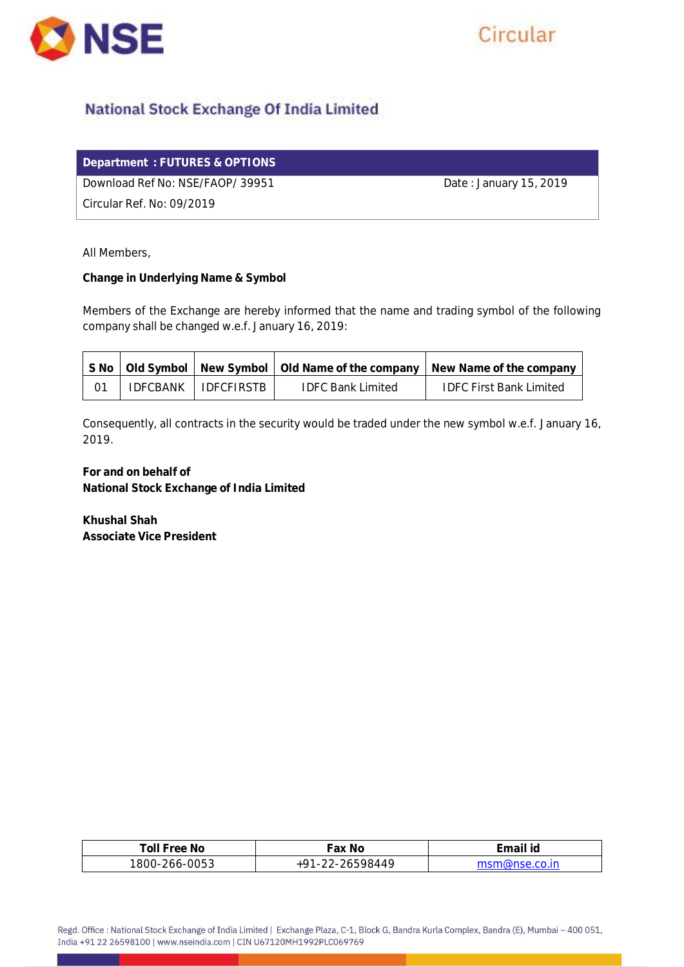

# Circular

# **National Stock Exchange Of India Limited**

|  | Department: FUTURES & OPTIONS' |
|--|--------------------------------|
|--|--------------------------------|

Download Ref No: NSE/FAOP/ 39951 Date: January 15, 2019

Circular Ref. No: 09/2019

All Members,

**Change in Underlying Name & Symbol**

Members of the Exchange are hereby informed that the name and trading symbol of the following company shall be changed w.e.f. January 16, 2019:

|  |                       |                   | S No   Old Symbol   New Symbol   Old Name of the company   New Name of the company |
|--|-----------------------|-------------------|------------------------------------------------------------------------------------|
|  | IDFCBANK   IDFCFIRSTB | TDFC Bank Limited | <b>IDFC First Bank Limited</b>                                                     |

Consequently, all contracts in the security would be traded under the new symbol w.e.f. January 16, 2019.

**For and on behalf of National Stock Exchange of India Limited**

**Khushal Shah Associate Vice President**

| No.<br>۵۵۰<br>OH<br>___                                                | .Ng<br>$\sim$<br>dλ                                                                          | لہ :<br>ווורי<br>-lu |
|------------------------------------------------------------------------|----------------------------------------------------------------------------------------------|----------------------|
| $\cap$ $\cap$ $\cap$<br>ୱା<br>$\mathcal{N}$<br>1 <sup>h</sup><br>ں ب د | $\Delta \Delta C$<br>$\overline{\phantom{0}}$<br>$\overline{\phantom{a}}$<br>-<br><u>_ _</u> |                      |

Regd. Office : National Stock Exchange of India Limited | Exchange Plaza, C-1, Block G, Bandra Kurla Complex, Bandra (E), Mumbai - 400 051, India +91 22 26598100 | www.nseindia.com | CIN U67120MH1992PLC069769